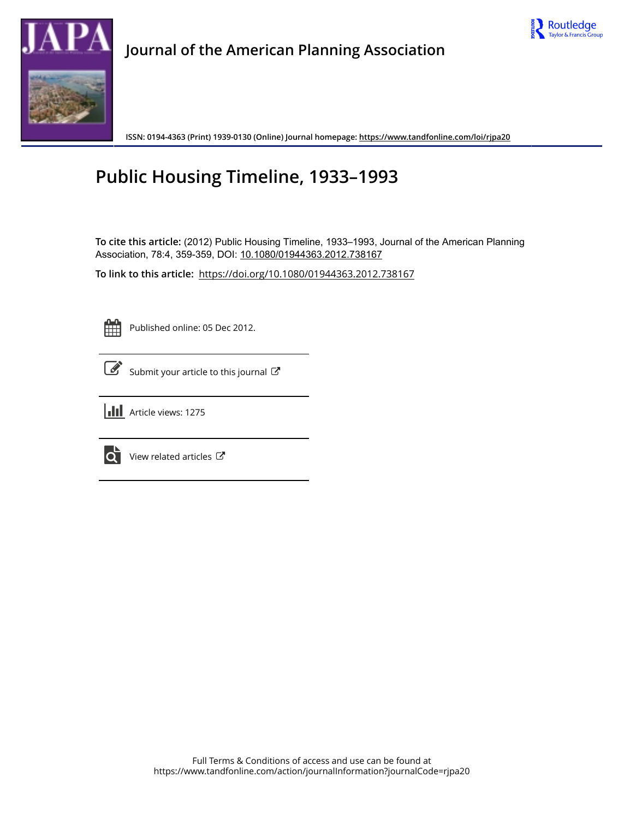



## **Journal of the American Planning Association**

**ISSN: 0194-4363 (Print) 1939-0130 (Online) Journal homepage:<https://www.tandfonline.com/loi/rjpa20>**

## **Public Housing Timeline, 1933–1993**

**To cite this article:** (2012) Public Housing Timeline, 1933–1993, Journal of the American Planning Association, 78:4, 359-359, DOI: [10.1080/01944363.2012.738167](https://www.tandfonline.com/action/showCitFormats?doi=10.1080/01944363.2012.738167)

**To link to this article:** <https://doi.org/10.1080/01944363.2012.738167>



Published online: 05 Dec 2012.

[Submit your article to this journal](https://www.tandfonline.com/action/authorSubmission?journalCode=rjpa20&show=instructions)  $\mathbb{Z}$ 





 $\overrightarrow{Q}$  [View related articles](https://www.tandfonline.com/doi/mlt/10.1080/01944363.2012.738167)  $\mathbb{Z}^{\bullet}$